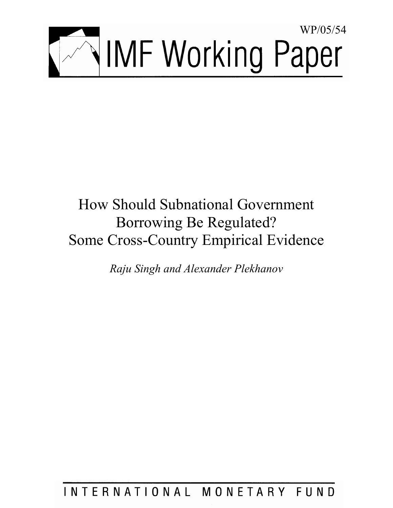

# How Should Subnational Government Borrowing Be Regulated? Some Cross-Country Empirical Evidence

*Raju Singh and Alexander Plekhanov* 

INTERNATIONAL MONETARY FUND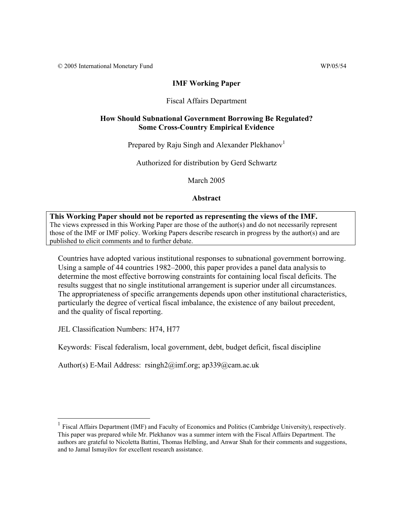© 2005 International Monetary Fund WP/05/54

#### **IMF Working Paper**

#### Fiscal Affairs Department

#### **How Should Subnational Government Borrowing Be Regulated? Some Cross-Country Empirical Evidence**

Prepared by Raju Singh and Alexander Plekhanov<sup>1</sup>

Authorized for distribution by Gerd Schwartz

March 2005

**Abstract**

# **This Working Paper should not be reported as representing the views of the IMF.** The views expressed in this Working Paper are those of the author(s) and do not necessarily represent

those of the IMF or IMF policy. Working Papers describe research in progress by the author(s) and are published to elicit comments and to further debate.

Countries have adopted various institutional responses to subnational government borrowing. Using a sample of 44 countries 1982–2000, this paper provides a panel data analysis to determine the most effective borrowing constraints for containing local fiscal deficits. The results suggest that no single institutional arrangement is superior under all circumstances. The appropriateness of specific arrangements depends upon other institutional characteristics, particularly the degree of vertical fiscal imbalance, the existence of any bailout precedent, and the quality of fiscal reporting.

JEL Classification Numbers: H74, H77

 $\overline{a}$ 

Keywords: Fiscal federalism, local government, debt, budget deficit, fiscal discipline

Author(s) E-Mail Address: rsingh2@imf.org; ap339@cam.ac.uk

<sup>&</sup>lt;sup>1</sup> Fiscal Affairs Department (IMF) and Faculty of Economics and Politics (Cambridge University), respectively. This paper was prepared while Mr. Plekhanov was a summer intern with the Fiscal Affairs Department. The authors are grateful to Nicoletta Battini, Thomas Helbling, and Anwar Shah for their comments and suggestions, and to Jamal Ismayilov for excellent research assistance.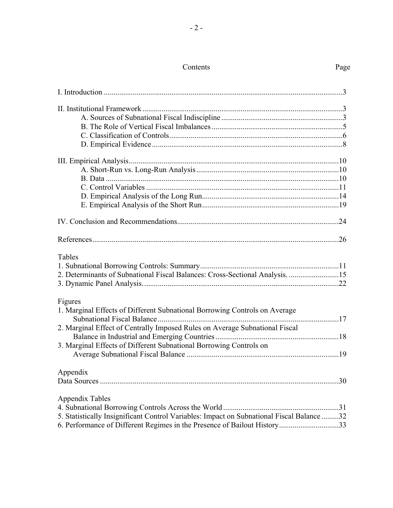## Contents Page

| Tables                                                                                    |  |
|-------------------------------------------------------------------------------------------|--|
|                                                                                           |  |
| 2. Determinants of Subnational Fiscal Balances: Cross-Sectional Analysis. 15              |  |
| Figures<br>1. Marginal Effects of Different Subnational Borrowing Controls on Average     |  |
|                                                                                           |  |
| 2. Marginal Effect of Centrally Imposed Rules on Average Subnational Fiscal               |  |
|                                                                                           |  |
| 3. Marginal Effects of Different Subnational Borrowing Controls on                        |  |
|                                                                                           |  |
| Appendix                                                                                  |  |
|                                                                                           |  |
| Appendix Tables                                                                           |  |
|                                                                                           |  |
| 5. Statistically Insignificant Control Variables: Impact on Subnational Fiscal Balance 32 |  |
| 6. Performance of Different Regimes in the Presence of Bailout History33                  |  |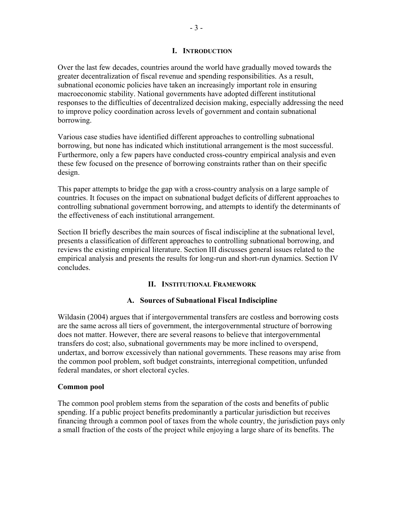#### **I. INTRODUCTION**

Over the last few decades, countries around the world have gradually moved towards the greater decentralization of fiscal revenue and spending responsibilities. As a result, subnational economic policies have taken an increasingly important role in ensuring macroeconomic stability. National governments have adopted different institutional responses to the difficulties of decentralized decision making, especially addressing the need to improve policy coordination across levels of government and contain subnational borrowing.

Various case studies have identified different approaches to controlling subnational borrowing, but none has indicated which institutional arrangement is the most successful. Furthermore, only a few papers have conducted cross-country empirical analysis and even these few focused on the presence of borrowing constraints rather than on their specific design.

This paper attempts to bridge the gap with a cross-country analysis on a large sample of countries. It focuses on the impact on subnational budget deficits of different approaches to controlling subnational government borrowing, and attempts to identify the determinants of the effectiveness of each institutional arrangement.

Section II briefly describes the main sources of fiscal indiscipline at the subnational level, presents a classification of different approaches to controlling subnational borrowing, and reviews the existing empirical literature. Section III discusses general issues related to the empirical analysis and presents the results for long-run and short-run dynamics. Section IV concludes.

#### **II. INSTITUTIONAL FRAMEWORK**

#### **A. Sources of Subnational Fiscal Indiscipline**

Wildasin (2004) argues that if intergovernmental transfers are costless and borrowing costs are the same across all tiers of government, the intergovernmental structure of borrowing does not matter. However, there are several reasons to believe that intergovernmental transfers do cost; also, subnational governments may be more inclined to overspend, undertax, and borrow excessively than national governments. These reasons may arise from the common pool problem, soft budget constraints, interregional competition, unfunded federal mandates, or short electoral cycles.

#### **Common pool**

The common pool problem stems from the separation of the costs and benefits of public spending. If a public project benefits predominantly a particular jurisdiction but receives financing through a common pool of taxes from the whole country, the jurisdiction pays only a small fraction of the costs of the project while enjoying a large share of its benefits. The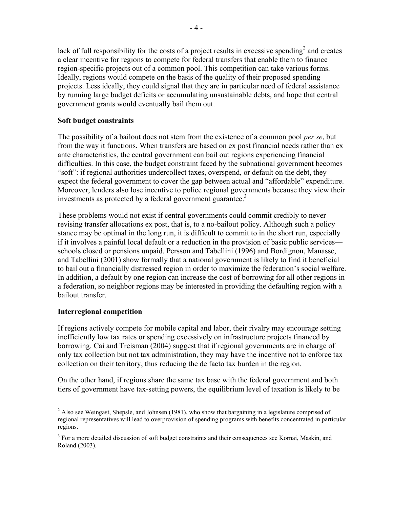lack of full responsibility for the costs of a project results in excessive spending<sup>2</sup> and creates a clear incentive for regions to compete for federal transfers that enable them to finance region-specific projects out of a common pool. This competition can take various forms. Ideally, regions would compete on the basis of the quality of their proposed spending projects. Less ideally, they could signal that they are in particular need of federal assistance by running large budget deficits or accumulating unsustainable debts, and hope that central government grants would eventually bail them out.

#### **Soft budget constraints**

The possibility of a bailout does not stem from the existence of a common pool *per se*, but from the way it functions. When transfers are based on ex post financial needs rather than ex ante characteristics, the central government can bail out regions experiencing financial difficulties. In this case, the budget constraint faced by the subnational government becomes "soft": if regional authorities undercollect taxes, overspend, or default on the debt, they expect the federal government to cover the gap between actual and "affordable" expenditure. Moreover, lenders also lose incentive to police regional governments because they view their investments as protected by a federal government guarantee.<sup>3</sup>

These problems would not exist if central governments could commit credibly to never revising transfer allocations ex post, that is, to a no-bailout policy. Although such a policy stance may be optimal in the long run, it is difficult to commit to in the short run, especially if it involves a painful local default or a reduction in the provision of basic public services schools closed or pensions unpaid. Persson and Tabellini (1996) and Bordignon, Manasse, and Tabellini (2001) show formally that a national government is likely to find it beneficial to bail out a financially distressed region in order to maximize the federation's social welfare. In addition, a default by one region can increase the cost of borrowing for all other regions in a federation, so neighbor regions may be interested in providing the defaulting region with a bailout transfer.

#### **Interregional competition**

 $\overline{a}$ 

If regions actively compete for mobile capital and labor, their rivalry may encourage setting inefficiently low tax rates or spending excessively on infrastructure projects financed by borrowing. Cai and Treisman (2004) suggest that if regional governments are in charge of only tax collection but not tax administration, they may have the incentive not to enforce tax collection on their territory, thus reducing the de facto tax burden in the region.

On the other hand, if regions share the same tax base with the federal government and both tiers of government have tax-setting powers, the equilibrium level of taxation is likely to be

 $2$  Also see Weingast, Shepsle, and Johnsen (1981), who show that bargaining in a legislature comprised of regional representatives will lead to overprovision of spending programs with benefits concentrated in particular regions.

<sup>&</sup>lt;sup>3</sup> For a more detailed discussion of soft budget constraints and their consequences see Kornai, Maskin, and Roland (2003).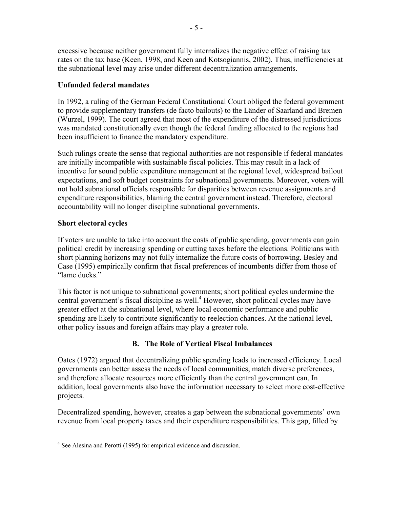excessive because neither government fully internalizes the negative effect of raising tax rates on the tax base (Keen, 1998, and Keen and Kotsogiannis, 2002). Thus, inefficiencies at the subnational level may arise under different decentralization arrangements.

#### **Unfunded federal mandates**

In 1992, a ruling of the German Federal Constitutional Court obliged the federal government to provide supplementary transfers (de facto bailouts) to the Länder of Saarland and Bremen (Wurzel, 1999). The court agreed that most of the expenditure of the distressed jurisdictions was mandated constitutionally even though the federal funding allocated to the regions had been insufficient to finance the mandatory expenditure.

Such rulings create the sense that regional authorities are not responsible if federal mandates are initially incompatible with sustainable fiscal policies. This may result in a lack of incentive for sound public expenditure management at the regional level, widespread bailout expectations, and soft budget constraints for subnational governments. Moreover, voters will not hold subnational officials responsible for disparities between revenue assignments and expenditure responsibilities, blaming the central government instead. Therefore, electoral accountability will no longer discipline subnational governments.

#### **Short electoral cycles**

If voters are unable to take into account the costs of public spending, governments can gain political credit by increasing spending or cutting taxes before the elections. Politicians with short planning horizons may not fully internalize the future costs of borrowing. Besley and Case (1995) empirically confirm that fiscal preferences of incumbents differ from those of "lame ducks."

This factor is not unique to subnational governments; short political cycles undermine the central government's fiscal discipline as well.<sup>4</sup> However, short political cycles may have greater effect at the subnational level, where local economic performance and public spending are likely to contribute significantly to reelection chances. At the national level, other policy issues and foreign affairs may play a greater role.

### **B. The Role of Vertical Fiscal Imbalances**

Oates (1972) argued that decentralizing public spending leads to increased efficiency. Local governments can better assess the needs of local communities, match diverse preferences, and therefore allocate resources more efficiently than the central government can. In addition, local governments also have the information necessary to select more cost-effective projects.

Decentralized spending, however, creates a gap between the subnational governments' own revenue from local property taxes and their expenditure responsibilities. This gap, filled by

<sup>&</sup>lt;sup>4</sup> See Alesina and Perotti (1995) for empirical evidence and discussion.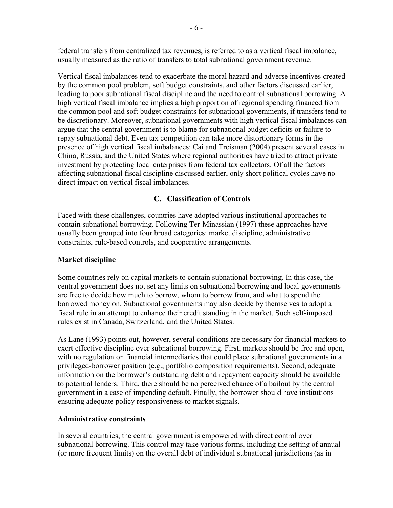federal transfers from centralized tax revenues, is referred to as a vertical fiscal imbalance, usually measured as the ratio of transfers to total subnational government revenue.

Vertical fiscal imbalances tend to exacerbate the moral hazard and adverse incentives created by the common pool problem, soft budget constraints, and other factors discussed earlier, leading to poor subnational fiscal discipline and the need to control subnational borrowing. A high vertical fiscal imbalance implies a high proportion of regional spending financed from the common pool and soft budget constraints for subnational governments, if transfers tend to be discretionary. Moreover, subnational governments with high vertical fiscal imbalances can argue that the central government is to blame for subnational budget deficits or failure to repay subnational debt. Even tax competition can take more distortionary forms in the presence of high vertical fiscal imbalances: Cai and Treisman (2004) present several cases in China, Russia, and the United States where regional authorities have tried to attract private investment by protecting local enterprises from federal tax collectors. Of all the factors affecting subnational fiscal discipline discussed earlier, only short political cycles have no direct impact on vertical fiscal imbalances.

#### **C. Classification of Controls**

Faced with these challenges, countries have adopted various institutional approaches to contain subnational borrowing. Following Ter-Minassian (1997) these approaches have usually been grouped into four broad categories: market discipline, administrative constraints, rule-based controls, and cooperative arrangements.

#### **Market discipline**

Some countries rely on capital markets to contain subnational borrowing. In this case, the central government does not set any limits on subnational borrowing and local governments are free to decide how much to borrow, whom to borrow from, and what to spend the borrowed money on. Subnational governments may also decide by themselves to adopt a fiscal rule in an attempt to enhance their credit standing in the market. Such self-imposed rules exist in Canada, Switzerland, and the United States.

As Lane (1993) points out, however, several conditions are necessary for financial markets to exert effective discipline over subnational borrowing. First, markets should be free and open, with no regulation on financial intermediaries that could place subnational governments in a privileged-borrower position (e.g., portfolio composition requirements). Second, adequate information on the borrower's outstanding debt and repayment capacity should be available to potential lenders. Third, there should be no perceived chance of a bailout by the central government in a case of impending default. Finally, the borrower should have institutions ensuring adequate policy responsiveness to market signals.

#### **Administrative constraints**

In several countries, the central government is empowered with direct control over subnational borrowing. This control may take various forms, including the setting of annual (or more frequent limits) on the overall debt of individual subnational jurisdictions (as in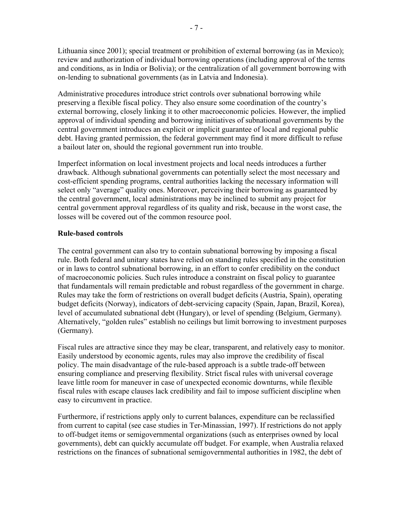Lithuania since 2001); special treatment or prohibition of external borrowing (as in Mexico); review and authorization of individual borrowing operations (including approval of the terms and conditions, as in India or Bolivia); or the centralization of all government borrowing with on-lending to subnational governments (as in Latvia and Indonesia).

Administrative procedures introduce strict controls over subnational borrowing while preserving a flexible fiscal policy. They also ensure some coordination of the country's external borrowing, closely linking it to other macroeconomic policies. However, the implied approval of individual spending and borrowing initiatives of subnational governments by the central government introduces an explicit or implicit guarantee of local and regional public debt. Having granted permission, the federal government may find it more difficult to refuse a bailout later on, should the regional government run into trouble.

Imperfect information on local investment projects and local needs introduces a further drawback. Although subnational governments can potentially select the most necessary and cost-efficient spending programs, central authorities lacking the necessary information will select only "average" quality ones. Moreover, perceiving their borrowing as guaranteed by the central government, local administrations may be inclined to submit any project for central government approval regardless of its quality and risk, because in the worst case, the losses will be covered out of the common resource pool.

#### **Rule-based controls**

The central government can also try to contain subnational borrowing by imposing a fiscal rule. Both federal and unitary states have relied on standing rules specified in the constitution or in laws to control subnational borrowing, in an effort to confer credibility on the conduct of macroeconomic policies. Such rules introduce a constraint on fiscal policy to guarantee that fundamentals will remain predictable and robust regardless of the government in charge. Rules may take the form of restrictions on overall budget deficits (Austria, Spain), operating budget deficits (Norway), indicators of debt-servicing capacity (Spain, Japan, Brazil, Korea), level of accumulated subnational debt (Hungary), or level of spending (Belgium, Germany). Alternatively, "golden rules" establish no ceilings but limit borrowing to investment purposes (Germany).

Fiscal rules are attractive since they may be clear, transparent, and relatively easy to monitor. Easily understood by economic agents, rules may also improve the credibility of fiscal policy. The main disadvantage of the rule-based approach is a subtle trade-off between ensuring compliance and preserving flexibility. Strict fiscal rules with universal coverage leave little room for maneuver in case of unexpected economic downturns, while flexible fiscal rules with escape clauses lack credibility and fail to impose sufficient discipline when easy to circumvent in practice.

Furthermore, if restrictions apply only to current balances, expenditure can be reclassified from current to capital (see case studies in Ter-Minassian, 1997). If restrictions do not apply to off-budget items or semigovernmental organizations (such as enterprises owned by local governments), debt can quickly accumulate off budget. For example, when Australia relaxed restrictions on the finances of subnational semigovernmental authorities in 1982, the debt of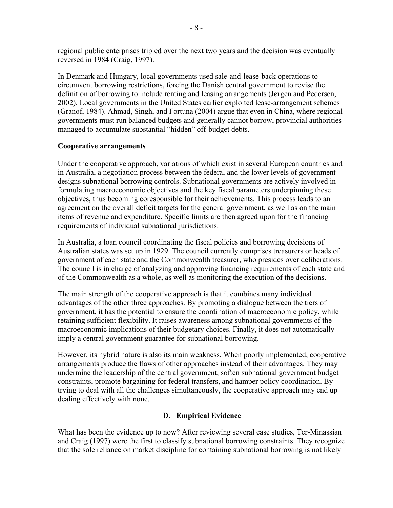regional public enterprises tripled over the next two years and the decision was eventually reversed in 1984 (Craig, 1997).

In Denmark and Hungary, local governments used sale-and-lease-back operations to circumvent borrowing restrictions, forcing the Danish central government to revise the definition of borrowing to include renting and leasing arrangements (Jørgen and Pedersen, 2002). Local governments in the United States earlier exploited lease-arrangement schemes (Granof, 1984). Ahmad, Singh, and Fortuna (2004) argue that even in China, where regional governments must run balanced budgets and generally cannot borrow, provincial authorities managed to accumulate substantial "hidden" off-budget debts.

#### **Cooperative arrangements**

Under the cooperative approach, variations of which exist in several European countries and in Australia, a negotiation process between the federal and the lower levels of government designs subnational borrowing controls. Subnational governments are actively involved in formulating macroeconomic objectives and the key fiscal parameters underpinning these objectives, thus becoming coresponsible for their achievements. This process leads to an agreement on the overall deficit targets for the general government, as well as on the main items of revenue and expenditure. Specific limits are then agreed upon for the financing requirements of individual subnational jurisdictions.

In Australia, a loan council coordinating the fiscal policies and borrowing decisions of Australian states was set up in 1929. The council currently comprises treasurers or heads of government of each state and the Commonwealth treasurer, who presides over deliberations. The council is in charge of analyzing and approving financing requirements of each state and of the Commonwealth as a whole, as well as monitoring the execution of the decisions.

The main strength of the cooperative approach is that it combines many individual advantages of the other three approaches. By promoting a dialogue between the tiers of government, it has the potential to ensure the coordination of macroeconomic policy, while retaining sufficient flexibility. It raises awareness among subnational governments of the macroeconomic implications of their budgetary choices. Finally, it does not automatically imply a central government guarantee for subnational borrowing.

However, its hybrid nature is also its main weakness. When poorly implemented, cooperative arrangements produce the flaws of other approaches instead of their advantages. They may undermine the leadership of the central government, soften subnational government budget constraints, promote bargaining for federal transfers, and hamper policy coordination. By trying to deal with all the challenges simultaneously, the cooperative approach may end up dealing effectively with none.

#### **D. Empirical Evidence**

What has been the evidence up to now? After reviewing several case studies, Ter-Minassian and Craig (1997) were the first to classify subnational borrowing constraints. They recognize that the sole reliance on market discipline for containing subnational borrowing is not likely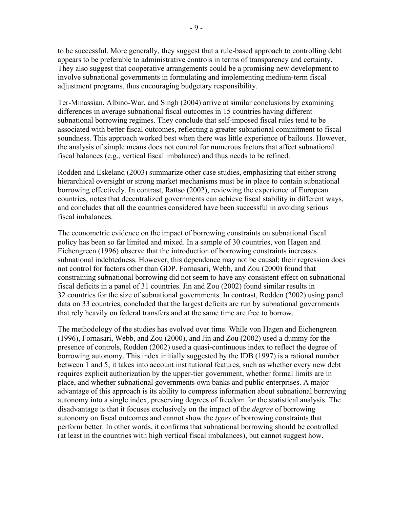to be successful. More generally, they suggest that a rule-based approach to controlling debt appears to be preferable to administrative controls in terms of transparency and certainty. They also suggest that cooperative arrangements could be a promising new development to involve subnational governments in formulating and implementing medium-term fiscal adjustment programs, thus encouraging budgetary responsibility.

Ter-Minassian, Albino-War, and Singh (2004) arrive at similar conclusions by examining differences in average subnational fiscal outcomes in 15 countries having different subnational borrowing regimes. They conclude that self-imposed fiscal rules tend to be associated with better fiscal outcomes, reflecting a greater subnational commitment to fiscal soundness. This approach worked best when there was little experience of bailouts. However, the analysis of simple means does not control for numerous factors that affect subnational fiscal balances (e.g., vertical fiscal imbalance) and thus needs to be refined.

Rodden and Eskeland (2003) summarize other case studies, emphasizing that either strong hierarchical oversight or strong market mechanisms must be in place to contain subnational borrowing effectively. In contrast, Rattsø (2002), reviewing the experience of European countries, notes that decentralized governments can achieve fiscal stability in different ways, and concludes that all the countries considered have been successful in avoiding serious fiscal imbalances.

The econometric evidence on the impact of borrowing constraints on subnational fiscal policy has been so far limited and mixed. In a sample of 30 countries, von Hagen and Eichengreen (1996) observe that the introduction of borrowing constraints increases subnational indebtedness. However, this dependence may not be causal; their regression does not control for factors other than GDP. Fornasari, Webb, and Zou (2000) found that constraining subnational borrowing did not seem to have any consistent effect on subnational fiscal deficits in a panel of 31 countries. Jin and Zou (2002) found similar results in 32 countries for the size of subnational governments. In contrast, Rodden (2002) using panel data on 33 countries, concluded that the largest deficits are run by subnational governments that rely heavily on federal transfers and at the same time are free to borrow.

The methodology of the studies has evolved over time. While von Hagen and Eichengreen (1996), Fornasari, Webb, and Zou (2000), and Jin and Zou (2002) used a dummy for the presence of controls, Rodden (2002) used a quasi-continuous index to reflect the degree of borrowing autonomy. This index initially suggested by the IDB (1997) is a rational number between 1 and 5; it takes into account institutional features, such as whether every new debt requires explicit authorization by the upper-tier government, whether formal limits are in place, and whether subnational governments own banks and public enterprises. A major advantage of this approach is its ability to compress information about subnational borrowing autonomy into a single index, preserving degrees of freedom for the statistical analysis. The disadvantage is that it focuses exclusively on the impact of the *degree* of borrowing autonomy on fiscal outcomes and cannot show the *types* of borrowing constraints that perform better. In other words, it confirms that subnational borrowing should be controlled (at least in the countries with high vertical fiscal imbalances), but cannot suggest how.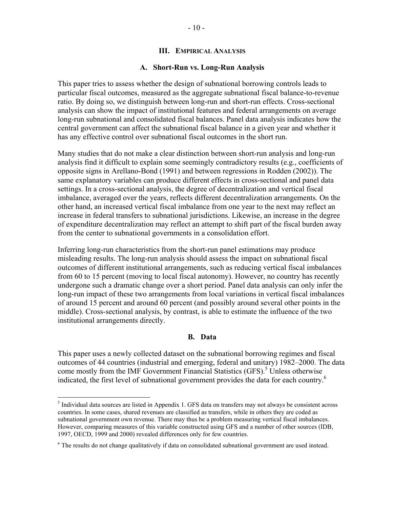#### **III. EMPIRICAL ANALYSIS**

#### **A. Short-Run vs. Long-Run Analysis**

This paper tries to assess whether the design of subnational borrowing controls leads to particular fiscal outcomes, measured as the aggregate subnational fiscal balance-to-revenue ratio. By doing so, we distinguish between long-run and short-run effects. Cross-sectional analysis can show the impact of institutional features and federal arrangements on average long-run subnational and consolidated fiscal balances. Panel data analysis indicates how the central government can affect the subnational fiscal balance in a given year and whether it has any effective control over subnational fiscal outcomes in the short run.

Many studies that do not make a clear distinction between short-run analysis and long-run analysis find it difficult to explain some seemingly contradictory results (e.g., coefficients of opposite signs in Arellano-Bond (1991) and between regressions in Rodden (2002)). The same explanatory variables can produce different effects in cross-sectional and panel data settings. In a cross-sectional analysis, the degree of decentralization and vertical fiscal imbalance, averaged over the years, reflects different decentralization arrangements. On the other hand, an increased vertical fiscal imbalance from one year to the next may reflect an increase in federal transfers to subnational jurisdictions. Likewise, an increase in the degree of expenditure decentralization may reflect an attempt to shift part of the fiscal burden away from the center to subnational governments in a consolidation effort.

Inferring long-run characteristics from the short-run panel estimations may produce misleading results. The long-run analysis should assess the impact on subnational fiscal outcomes of different institutional arrangements, such as reducing vertical fiscal imbalances from 60 to 15 percent (moving to local fiscal autonomy). However, no country has recently undergone such a dramatic change over a short period. Panel data analysis can only infer the long-run impact of these two arrangements from local variations in vertical fiscal imbalances of around 15 percent and around 60 percent (and possibly around several other points in the middle). Cross-sectional analysis, by contrast, is able to estimate the influence of the two institutional arrangements directly.

#### **B. Data**

This paper uses a newly collected dataset on the subnational borrowing regimes and fiscal outcomes of 44 countries (industrial and emerging, federal and unitary) 1982–2000. The data come mostly from the IMF Government Financial Statistics (GFS).<sup>5</sup> Unless otherwise indicated, the first level of subnational government provides the data for each country.<sup>6</sup>

<u>.</u>

<sup>&</sup>lt;sup>5</sup> Individual data sources are listed in Appendix 1. GFS data on transfers may not always be consistent across countries. In some cases, shared revenues are classified as transfers, while in others they are coded as subnational government own revenue. There may thus be a problem measuring vertical fiscal imbalances. However, comparing measures of this variable constructed using GFS and a number of other sources (IDB, 1997, OECD, 1999 and 2000) revealed differences only for few countries.

<sup>&</sup>lt;sup>6</sup> The results do not change qualitatively if data on consolidated subnational government are used instead.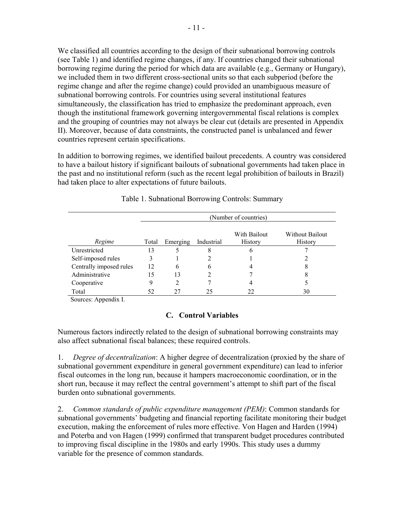We classified all countries according to the design of their subnational borrowing controls (see Table 1) and identified regime changes, if any. If countries changed their subnational borrowing regime during the period for which data are available (e.g., Germany or Hungary), we included them in two different cross-sectional units so that each subperiod (before the regime change and after the regime change) could provided an unambiguous measure of subnational borrowing controls. For countries using several institutional features simultaneously, the classification has tried to emphasize the predominant approach, even though the institutional framework governing intergovernmental fiscal relations is complex and the grouping of countries may not always be clear cut (details are presented in Appendix II). Moreover, because of data constraints, the constructed panel is unbalanced and fewer countries represent certain specifications.

In addition to borrowing regimes, we identified bailout precedents. A country was considered to have a bailout history if significant bailouts of subnational governments had taken place in the past and no institutional reform (such as the recent legal prohibition of bailouts in Brazil) had taken place to alter expectations of future bailouts.

|                         | (Number of countries) |          |            |                         |                            |
|-------------------------|-----------------------|----------|------------|-------------------------|----------------------------|
| Regime                  | Total                 | Emerging | Industrial | With Bailout<br>History | Without Bailout<br>History |
| Unrestricted            | 13                    | 5        | 8          | b                       |                            |
| Self-imposed rules      |                       |          |            |                         |                            |
| Centrally imposed rules | 12                    | 6        | 6          |                         | 8                          |
| Administrative          | 15                    | 13       |            |                         | 8                          |
| Cooperative             | 9                     | 2        |            |                         |                            |
| Total                   | 52                    | 27       | 25         |                         | 30                         |

Table 1. Subnational Borrowing Controls: Summary

Sources: Appendix I.

### **C. Control Variables**

Numerous factors indirectly related to the design of subnational borrowing constraints may also affect subnational fiscal balances; these required controls.

1. *Degree of decentralization*: A higher degree of decentralization (proxied by the share of subnational government expenditure in general government expenditure) can lead to inferior fiscal outcomes in the long run, because it hampers macroeconomic coordination, or in the short run, because it may reflect the central government's attempt to shift part of the fiscal burden onto subnational governments.

2. *Common standards of public expenditure management (PEM)*: Common standards for subnational governments' budgeting and financial reporting facilitate monitoring their budget execution, making the enforcement of rules more effective. Von Hagen and Harden (1994) and Poterba and von Hagen (1999) confirmed that transparent budget procedures contributed to improving fiscal discipline in the 1980s and early 1990s. This study uses a dummy variable for the presence of common standards.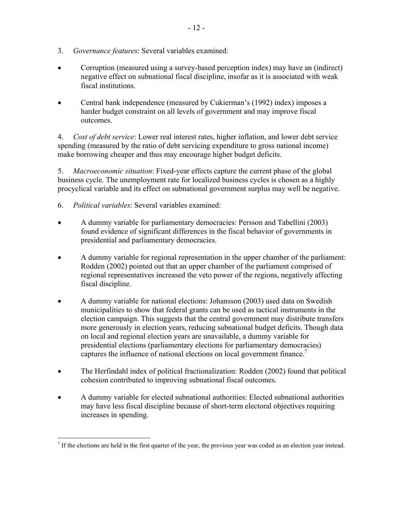- 3. *Governance features*: Several variables examined:
- Corruption (measured using a survey-based perception index) may have an (indirect) negative effect on subnational fiscal discipline, insofar as it is associated with weak fiscal institutions.
- Central bank independence (measured by Cukierman's (1992) index) imposes a harder budget constraint on all levels of government and may improve fiscal outcomes.

4. *Cost of debt service*: Lower real interest rates, higher inflation, and lower debt service spending (measured by the ratio of debt servicing expenditure to gross national income) make borrowing cheaper and thus may encourage higher budget deficits.

5. *Macroeconomic situation*: Fixed-year effects capture the current phase of the global business cycle. The unemployment rate for localized business cycles is chosen as a highly procyclical variable and its effect on subnational government surplus may well be negative.

- 6. *Political variables*: Several variables examined:
- A dummy variable for parliamentary democracies: Persson and Tabellini (2003) found evidence of significant differences in the fiscal behavior of governments in presidential and parliamentary democracies.
- A dummy variable for regional representation in the upper chamber of the parliament: Rodden (2002) pointed out that an upper chamber of the parliament comprised of regional representatives increased the veto power of the regions, negatively affecting fiscal discipline.
- A dummy variable for national elections: Johansson (2003) used data on Swedish municipalities to show that federal grants can be used as tactical instruments in the election campaign. This suggests that the central government may distribute transfers more generously in election years, reducing subnational budget deficits. Though data on local and regional election years are unavailable, a dummy variable for presidential elections (parliamentary elections for parliamentary democracies) captures the influence of national elections on local government finance.<sup>7</sup>
- The Herfindahl index of political fractionalization: Rodden (2002) found that political cohesion contributed to improving subnational fiscal outcomes.
- A dummy variable for elected subnational authorities: Elected subnational authorities may have less fiscal discipline because of short-term electoral objectives requiring increases in spending.

<sup>&</sup>lt;sup>7</sup> If the elections are held in the first quarter of the year, the previous year was coded as an election year instead.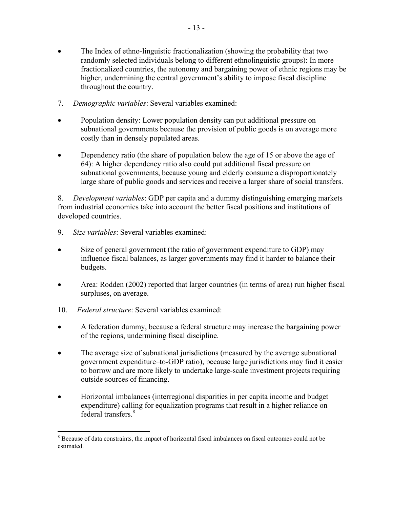- The Index of ethno-linguistic fractionalization (showing the probability that two randomly selected individuals belong to different ethnolinguistic groups): In more fractionalized countries, the autonomy and bargaining power of ethnic regions may be higher, undermining the central government's ability to impose fiscal discipline throughout the country.
- 7. *Demographic variables*: Several variables examined:
- Population density: Lower population density can put additional pressure on subnational governments because the provision of public goods is on average more costly than in densely populated areas.
- Dependency ratio (the share of population below the age of 15 or above the age of 64): A higher dependency ratio also could put additional fiscal pressure on subnational governments, because young and elderly consume a disproportionately large share of public goods and services and receive a larger share of social transfers.

8. *Development variables*: GDP per capita and a dummy distinguishing emerging markets from industrial economies take into account the better fiscal positions and institutions of developed countries.

- 9. *Size variables*: Several variables examined:
- Size of general government (the ratio of government expenditure to GDP) may influence fiscal balances, as larger governments may find it harder to balance their budgets.
- Area: Rodden (2002) reported that larger countries (in terms of area) run higher fiscal surpluses, on average.
- 10. *Federal structure*: Several variables examined:

1

- A federation dummy, because a federal structure may increase the bargaining power of the regions, undermining fiscal discipline.
- The average size of subnational jurisdictions (measured by the average subnational government expenditure–to-GDP ratio), because large jurisdictions may find it easier to borrow and are more likely to undertake large-scale investment projects requiring outside sources of financing.
- Horizontal imbalances (interregional disparities in per capita income and budget expenditure) calling for equalization programs that result in a higher reliance on federal transfers.<sup>8</sup>

<sup>&</sup>lt;sup>8</sup> Because of data constraints, the impact of horizontal fiscal imbalances on fiscal outcomes could not be estimated.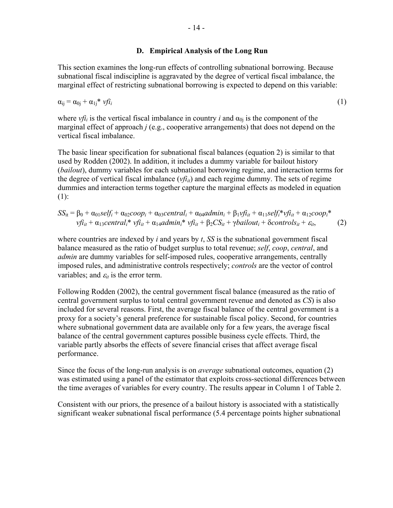#### **D. Empirical Analysis of the Long Run**

This section examines the long-run effects of controlling subnational borrowing. Because subnational fiscal indiscipline is aggravated by the degree of vertical fiscal imbalance, the marginal effect of restricting subnational borrowing is expected to depend on this variable:

$$
\alpha_{ij} = \alpha_{0j} + \alpha_{1j} * \nu f i_i \tag{1}
$$

where *vfi<sub>i</sub>* is the vertical fiscal imbalance in country *i* and  $\alpha_{0i}$  is the component of the marginal effect of approach *j* (e.g., cooperative arrangements) that does not depend on the vertical fiscal imbalance.

The basic linear specification for subnational fiscal balances (equation 2) is similar to that used by Rodden (2002). In addition, it includes a dummy variable for bailout history (*bailout*), dummy variables for each subnational borrowing regime, and interaction terms for the degree of vertical fiscal imbalance  $(vfi_{it})$  and each regime dummy. The sets of regime dummies and interaction terms together capture the marginal effects as modeled in equation (1):

$$
SS_{it} = \beta_0 + \alpha_{01}self_i + \alpha_{02}coop_i + \alpha_{03}central_i + \alpha_{04}admin_i + \beta_{1} yf_{it} + \alpha_{11} self_i^* yf_{it} + \alpha_{12}coop_i^*
$$
  

$$
vfi_{it} + \alpha_{13}central_i^* yf_{it} + \alpha_{14}admin_i^* yf_{it} + \beta_{2} CS_{it} + \gamma bailout_i + Scontrols_{it} + \varepsilon_{it},
$$
 (2)

where countries are indexed by *i* and years by *t*, *SS* is the subnational government fiscal balance measured as the ratio of budget surplus to total revenue; *self*, *coop*, *central*, and *admin* are dummy variables for self-imposed rules, cooperative arrangements, centrally imposed rules, and administrative controls respectively; *controls* are the vector of control variables; and  $\varepsilon_{it}$  is the error term.

Following Rodden (2002), the central government fiscal balance (measured as the ratio of central government surplus to total central government revenue and denoted as *CS*) is also included for several reasons. First, the average fiscal balance of the central government is a proxy for a society's general preference for sustainable fiscal policy. Second, for countries where subnational government data are available only for a few years, the average fiscal balance of the central government captures possible business cycle effects. Third, the variable partly absorbs the effects of severe financial crises that affect average fiscal performance.

Since the focus of the long-run analysis is on *average* subnational outcomes, equation (2) was estimated using a panel of the estimator that exploits cross-sectional differences between the time averages of variables for every country. The results appear in Column 1 of Table 2.

Consistent with our priors, the presence of a bailout history is associated with a statistically significant weaker subnational fiscal performance (5.4 percentage points higher subnational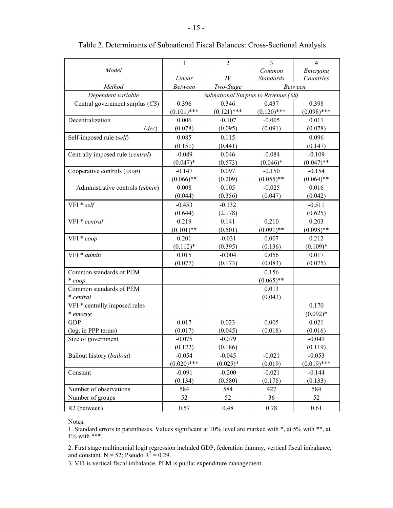|                                  | 1              | $\overline{2}$     | 3                                   | $\overline{4}$ |
|----------------------------------|----------------|--------------------|-------------------------------------|----------------|
| Model                            |                |                    | $\overline{Common}$                 | Emerging       |
|                                  | Linear         | $I\hspace{-.1em}V$ | <b>Standards</b>                    | Countries      |
| Method                           | <b>Between</b> | Two-Stage          | <b>Between</b>                      |                |
| Dependent variable               |                |                    | Subnational Surplus to Revenue (SS) |                |
| Central government surplus (CS)  | 0.396          | 0.346              | 0.437                               | 0.398          |
|                                  | $(0.101)$ ***  | $(0.121)$ ***      | $(0.120)$ ***                       | $(0.098)$ ***  |
| Decentralization                 | 0.006          | $-0.107$           | $-0.005$                            | 0.011          |
| (dec)                            | (0.078)        | (0.095)            | (0.091)                             | (0.078)        |
| Self-imposed rule (self)         | 0.085          | 0.115              |                                     | 0.096          |
|                                  | (0.151)        | (0.441)            |                                     | (0.147)        |
| Centrally imposed rule (central) | $-0.089$       | 0.046              | $-0.084$                            | $-0.109$       |
|                                  | $(0.047)^*$    | (0.573)            | $(0.046)*$                          | $(0.047)$ **   |
| Cooperative controls (coop)      | $-0.147$       | 0.097              | $-0.150$                            | $-0.154$       |
|                                  | $(0.066)$ **   | (0.209)            | $(0.055)$ **                        | $(0.064)$ **   |
| Administrative controls (admin)  | 0.008          | 0.105              | $-0.025$                            | 0.016          |
|                                  | (0.044)        | (0.356)            | (0.047)                             | (0.042)        |
| $VFI * self$                     | $-0.453$       | $-0.132$           |                                     | $-0.511$       |
|                                  | (0.644)        | (2.178)            |                                     | (0.625)        |
| VFI * central                    | 0.219          | 0.141              | 0.210                               | 0.203          |
|                                  | $(0.101)$ **   | (0.501)            | $(0.091)$ **                        | $(0.098)$ **   |
| VFI * coop                       | 0.201          | $-0.031$           | 0.007                               | 0.212          |
|                                  | $(0.112)*$     | (0.395)            | (0.136)                             | $(0.109)*$     |
| VFI * admin                      | 0.015          | $-0.004$           | 0.056                               | 0.017          |
|                                  | (0.077)        | (0.173)            | (0.083)                             | (0.075)        |
| Common standards of PEM          |                |                    | 0.156                               |                |
| $*$ coop                         |                |                    | $(0.065)$ **                        |                |
| Common standards of PEM          |                |                    | 0.013                               |                |
| * central                        |                |                    | (0.043)                             |                |
| VFI * centrally imposed rules    |                |                    |                                     | 0.170          |
| * emerge                         |                |                    |                                     | $(0.092)*$     |
| <b>GDP</b>                       | 0.017          | 0.023              | 0.005                               | 0.021          |
| (log, in PPP terms)              | (0.017)        | (0.045)            | (0.018)                             | (0.016)        |
| Size of government               | $-0.075$       | $-0.079$           |                                     | $-0.049$       |
|                                  | (0.122)        | (0.186)            |                                     | (0.119)        |
| Bailout history (bailout)        | $-0.054$       | $-0.045$           | $-0.021$                            | $-0.053$       |
|                                  | $(0.020)$ ***  | $(0.025)*$         | (0.019)                             | $(0.019)$ ***  |
| Constant                         | $-0.091$       | $-0.200$           | $-0.021$                            | $-0.144$       |
|                                  | (0.134)        | (0.580)            | (0.178)                             | (0.133)        |
| Number of observations           | 584            | 584                | 427                                 | 584            |
| Number of groups                 | 52             | 52                 | 36                                  | 52             |
| R <sub>2</sub> (between)         | 0.57           | 0.48               | 0.78                                | 0.61           |

#### Table 2. Determinants of Subnational Fiscal Balances: Cross-Sectional Analysis

Notes:

1. Standard errors in parentheses. Values significant at 10% level are marked with \*, at 5% with \*\*, at 1% with \*\*\*.

2. First stage multinomial logit regression included GDP, federation dummy, vertical fiscal imbalance, and constant.  $N = 52$ ; Pseudo  $R^2 = 0.29$ .

3. VFI is vertical fiscal imbalance. PEM is public expenditure management.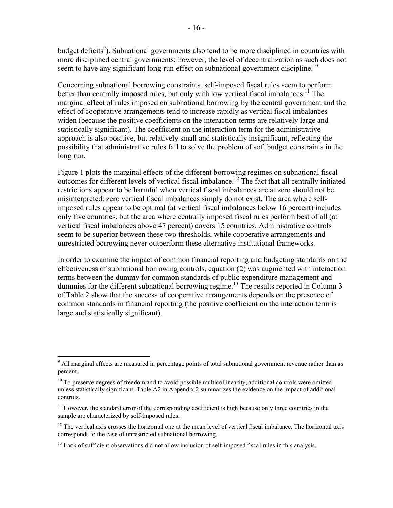budget deficits<sup>9</sup>). Subnational governments also tend to be more disciplined in countries with more disciplined central governments; however, the level of decentralization as such does not seem to have any significant long-run effect on subnational government discipline.<sup>10</sup>

Concerning subnational borrowing constraints, self-imposed fiscal rules seem to perform better than centrally imposed rules, but only with low vertical fiscal imbalances.<sup>11</sup> The marginal effect of rules imposed on subnational borrowing by the central government and the effect of cooperative arrangements tend to increase rapidly as vertical fiscal imbalances widen (because the positive coefficients on the interaction terms are relatively large and statistically significant). The coefficient on the interaction term for the administrative approach is also positive, but relatively small and statistically insignificant, reflecting the possibility that administrative rules fail to solve the problem of soft budget constraints in the long run.

Figure 1 plots the marginal effects of the different borrowing regimes on subnational fiscal outcomes for different levels of vertical fiscal imbalance.12 The fact that all centrally initiated restrictions appear to be harmful when vertical fiscal imbalances are at zero should not be misinterpreted: zero vertical fiscal imbalances simply do not exist. The area where selfimposed rules appear to be optimal (at vertical fiscal imbalances below 16 percent) includes only five countries, but the area where centrally imposed fiscal rules perform best of all (at vertical fiscal imbalances above 47 percent) covers 15 countries. Administrative controls seem to be superior between these two thresholds, while cooperative arrangements and unrestricted borrowing never outperform these alternative institutional frameworks.

In order to examine the impact of common financial reporting and budgeting standards on the effectiveness of subnational borrowing controls, equation (2) was augmented with interaction terms between the dummy for common standards of public expenditure management and dummies for the different subnational borrowing regime.<sup>13</sup> The results reported in Column 3 of Table 2 show that the success of cooperative arrangements depends on the presence of common standards in financial reporting (the positive coefficient on the interaction term is large and statistically significant).

<sup>&</sup>lt;sup>9</sup> All marginal effects are measured in percentage points of total subnational government revenue rather than as percent.

 $10$  To preserve degrees of freedom and to avoid possible multicollinearity, additional controls were omitted unless statistically significant. Table A2 in Appendix 2 summarizes the evidence on the impact of additional controls.

 $11$  However, the standard error of the corresponding coefficient is high because only three countries in the sample are characterized by self-imposed rules.

 $12$  The vertical axis crosses the horizontal one at the mean level of vertical fiscal imbalance. The horizontal axis corresponds to the case of unrestricted subnational borrowing.

 $13$  Lack of sufficient observations did not allow inclusion of self-imposed fiscal rules in this analysis.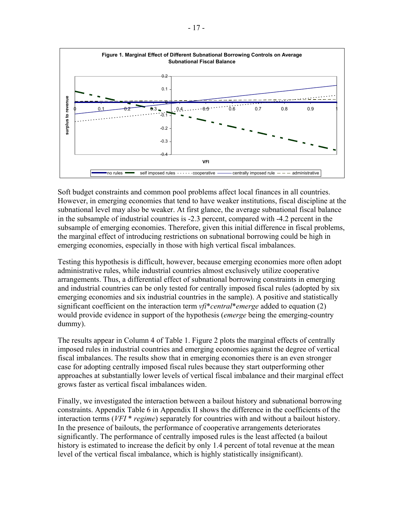

Soft budget constraints and common pool problems affect local finances in all countries. However, in emerging economies that tend to have weaker institutions, fiscal discipline at the subnational level may also be weaker. At first glance, the average subnational fiscal balance in the subsample of industrial countries is -2.3 percent, compared with -4.2 percent in the subsample of emerging economies. Therefore, given this initial difference in fiscal problems, the marginal effect of introducing restrictions on subnational borrowing could be high in emerging economies, especially in those with high vertical fiscal imbalances.

Testing this hypothesis is difficult, however, because emerging economies more often adopt administrative rules, while industrial countries almost exclusively utilize cooperative arrangements. Thus, a differential effect of subnational borrowing constraints in emerging and industrial countries can be only tested for centrally imposed fiscal rules (adopted by six emerging economies and six industrial countries in the sample). A positive and statistically significant coefficient on the interaction term *vfi*\**central*\**emerge* added to equation (2) would provide evidence in support of the hypothesis (*emerge* being the emerging-country dummy).

The results appear in Column 4 of Table 1. Figure 2 plots the marginal effects of centrally imposed rules in industrial countries and emerging economies against the degree of vertical fiscal imbalances. The results show that in emerging economies there is an even stronger case for adopting centrally imposed fiscal rules because they start outperforming other approaches at substantially lower levels of vertical fiscal imbalance and their marginal effect grows faster as vertical fiscal imbalances widen.

Finally, we investigated the interaction between a bailout history and subnational borrowing constraints. Appendix Table 6 in Appendix II shows the difference in the coefficients of the interaction terms (*VFI* \* *regime*) separately for countries with and without a bailout history. In the presence of bailouts, the performance of cooperative arrangements deteriorates significantly. The performance of centrally imposed rules is the least affected (a bailout history is estimated to increase the deficit by only 1.4 percent of total revenue at the mean level of the vertical fiscal imbalance, which is highly statistically insignificant).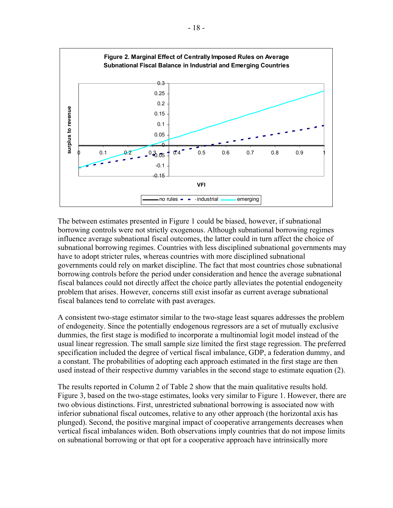

The between estimates presented in Figure 1 could be biased, however, if subnational borrowing controls were not strictly exogenous. Although subnational borrowing regimes influence average subnational fiscal outcomes, the latter could in turn affect the choice of subnational borrowing regimes. Countries with less disciplined subnational governments may have to adopt stricter rules, whereas countries with more disciplined subnational governments could rely on market discipline. The fact that most countries chose subnational borrowing controls before the period under consideration and hence the average subnational fiscal balances could not directly affect the choice partly alleviates the potential endogeneity problem that arises. However, concerns still exist insofar as current average subnational fiscal balances tend to correlate with past averages.

A consistent two-stage estimator similar to the two-stage least squares addresses the problem of endogeneity. Since the potentially endogenous regressors are a set of mutually exclusive dummies, the first stage is modified to incorporate a multinomial logit model instead of the usual linear regression. The small sample size limited the first stage regression. The preferred specification included the degree of vertical fiscal imbalance, GDP, a federation dummy, and a constant. The probabilities of adopting each approach estimated in the first stage are then used instead of their respective dummy variables in the second stage to estimate equation (2).

The results reported in Column 2 of Table 2 show that the main qualitative results hold. Figure 3, based on the two-stage estimates, looks very similar to Figure 1. However, there are two obvious distinctions. First, unrestricted subnational borrowing is associated now with inferior subnational fiscal outcomes, relative to any other approach (the horizontal axis has plunged). Second, the positive marginal impact of cooperative arrangements decreases when vertical fiscal imbalances widen. Both observations imply countries that do not impose limits on subnational borrowing or that opt for a cooperative approach have intrinsically more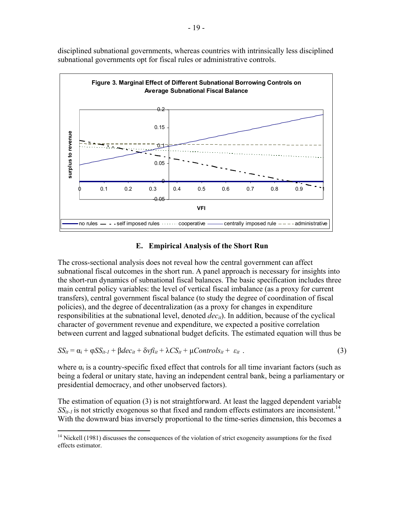

disciplined subnational governments, whereas countries with intrinsically less disciplined subnational governments opt for fiscal rules or administrative controls.

#### **E. Empirical Analysis of the Short Run**

The cross-sectional analysis does not reveal how the central government can affect subnational fiscal outcomes in the short run. A panel approach is necessary for insights into the short-run dynamics of subnational fiscal balances. The basic specification includes three main central policy variables: the level of vertical fiscal imbalance (as a proxy for current transfers), central government fiscal balance (to study the degree of coordination of fiscal policies), and the degree of decentralization (as a proxy for changes in expenditure responsibilities at the subnational level, denoted  $dec_{it}$ ). In addition, because of the cyclical character of government revenue and expenditure, we expected a positive correlation between current and lagged subnational budget deficits. The estimated equation will thus be

$$
SS_{it} = \alpha_i + \varphi SS_{it-1} + \beta dec_{it} + \delta v f i_{it} + \lambda CS_{it} + \mu Contro I s_{it} + \varepsilon_{it} \tag{3}
$$

where  $\alpha_i$  is a country-specific fixed effect that controls for all time invariant factors (such as being a federal or unitary state, having an independent central bank, being a parliamentary or presidential democracy, and other unobserved factors).

The estimation of equation (3) is not straightforward. At least the lagged dependent variable  $SS_{it-1}$  is not strictly exogenous so that fixed and random effects estimators are inconsistent.<sup>14</sup> With the downward bias inversely proportional to the time-series dimension, this becomes a

1

<sup>&</sup>lt;sup>14</sup> Nickell (1981) discusses the consequences of the violation of strict exogeneity assumptions for the fixed effects estimator.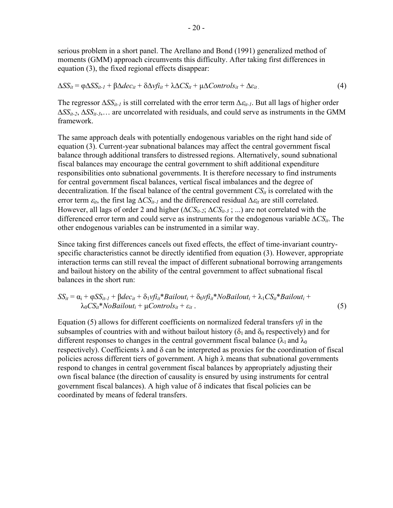serious problem in a short panel. The Arellano and Bond (1991) generalized method of moments (GMM) approach circumvents this difficulty. After taking first differences in equation (3), the fixed regional effects disappear:

$$
\Delta SS_{it} = \varphi \Delta SS_{it-1} + \beta \Delta dec_{it} + \delta \Delta v f i_{it} + \lambda \Delta CS_{it} + \mu \Delta Contro I s_{it} + \Delta \varepsilon_{it}.
$$
\n(4)

The regressor  $\Delta SS_{it-1}$  is still correlated with the error term  $\Delta \varepsilon_{it-1}$ . But all lags of higher order ∆*SSit-2*, ∆*SSit-3*,… are uncorrelated with residuals, and could serve as instruments in the GMM framework.

The same approach deals with potentially endogenous variables on the right hand side of equation (3). Current-year subnational balances may affect the central government fiscal balance through additional transfers to distressed regions. Alternatively, sound subnational fiscal balances may encourage the central government to shift additional expenditure responsibilities onto subnational governments. It is therefore necessary to find instruments for central government fiscal balances, vertical fiscal imbalances and the degree of decentralization. If the fiscal balance of the central government  $CS_{it}$  is correlated with the error term  $\varepsilon_{it}$ , the first lag  $\Delta CS_{it-1}$  and the differenced residual  $\Delta \varepsilon_{it}$  are still correlated. However, all lags of order 2 and higher (∆*CSit-2*; ∆*CSit-3* ; ...) are not correlated with the differenced error term and could serve as instruments for the endogenous variable ∆*CSit*. The other endogenous variables can be instrumented in a similar way.

Since taking first differences cancels out fixed effects, the effect of time-invariant countryspecific characteristics cannot be directly identified from equation (3). However, appropriate interaction terms can still reveal the impact of different subnational borrowing arrangements and bailout history on the ability of the central government to affect subnational fiscal balances in the short run:

$$
SS_{it} = \alpha_i + \varphi SS_{it-1} + \beta dec_{it} + \delta_1 v f_{it} * \text{Bailout}_i + \delta_0 v f_{it} * \text{NoBailout}_i + \lambda_1 CS_{it} * \text{Bailout}_i + \lambda_0 CS_{it} * \text{NoBailout}_i + \mu \text{Controls}_{it} + \varepsilon_{it} .
$$
\n(5)

Equation (5) allows for different coefficients on normalized federal transfers *vfi* in the subsamples of countries with and without bailout history ( $\delta_1$  and  $\delta_0$  respectively) and for different responses to changes in the central government fiscal balance ( $\lambda_1$  and  $\lambda_0$ ) respectively). Coefficients  $\lambda$  and  $\delta$  can be interpreted as proxies for the coordination of fiscal policies across different tiers of government. A high  $\lambda$  means that subnational governments respond to changes in central government fiscal balances by appropriately adjusting their own fiscal balance (the direction of causality is ensured by using instruments for central government fiscal balances). A high value of  $\delta$  indicates that fiscal policies can be coordinated by means of federal transfers.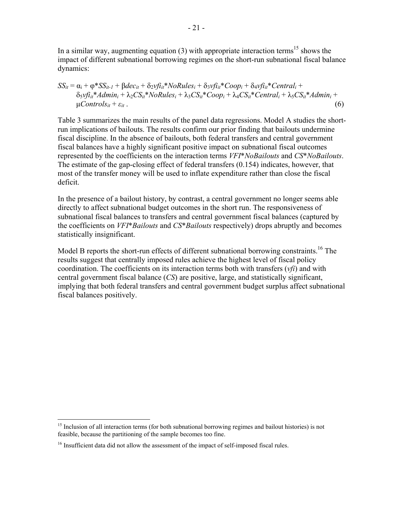In a similar way, augmenting equation (3) with appropriate interaction terms<sup>15</sup> shows the impact of different subnational borrowing regimes on the short-run subnational fiscal balance dynamics:

 $SS_{it} = \alpha_i + \varphi * SS_{it-1} + \beta dec_{it} + \delta_2 \nu f i_{it} * N \varphi Rules_i + \delta_3 \nu f i_{it} * Coop_i + \delta_4 \nu f i_{it} * Central_i +$  $\delta_5 v f_i^* \times Admin_i + \lambda_2 CS_{it}^* \times NoRules_i + \lambda_3 CS_{it}^* \times Coop_i + \lambda_4 CS_{it}^* \times Central_i + \lambda_5 CS_{it}^* \times Admin_i + \lambda_6 CS_{it}^* \times Coob_i + \lambda_7 CS_{it}^* \times Coob_i + \lambda_7 CS_{it}^* \times Coob_i + \lambda_7 CS_{it}^* \times Coob_i + \lambda_7 CS_{it}^* \times Coob_i + \lambda_7 CS_{it}^* \times Coob_i + \lambda_7 CS_{it}^* \times Coob_i + \lambda_7 CS_{it}^* \times Coob_i + \lambda_7 CS_{it}^* \times Co$  $\mu$ *Controls<sub>it</sub>* +  $\varepsilon$ *it*</sub> . (6)

Table 3 summarizes the main results of the panel data regressions. Model A studies the shortrun implications of bailouts. The results confirm our prior finding that bailouts undermine fiscal discipline. In the absence of bailouts, both federal transfers and central government fiscal balances have a highly significant positive impact on subnational fiscal outcomes represented by the coefficients on the interaction terms *VFI*\**NoBailouts* and *CS*\**NoBailouts*. The estimate of the gap-closing effect of federal transfers (0.154) indicates, however, that most of the transfer money will be used to inflate expenditure rather than close the fiscal deficit.

In the presence of a bailout history, by contrast, a central government no longer seems able directly to affect subnational budget outcomes in the short run. The responsiveness of subnational fiscal balances to transfers and central government fiscal balances (captured by the coefficients on *VFI*\**Bailouts* and *CS*\**Bailouts* respectively) drops abruptly and becomes statistically insignificant.

Model B reports the short-run effects of different subnational borrowing constraints.<sup>16</sup> The results suggest that centrally imposed rules achieve the highest level of fiscal policy coordination. The coefficients on its interaction terms both with transfers (*vfi*) and with central government fiscal balance (*CS*) are positive, large, and statistically significant, implying that both federal transfers and central government budget surplus affect subnational fiscal balances positively.

 $\overline{a}$ 

<sup>&</sup>lt;sup>15</sup> Inclusion of all interaction terms (for both subnational borrowing regimes and bailout histories) is not feasible, because the partitioning of the sample becomes too fine.

<sup>&</sup>lt;sup>16</sup> Insufficient data did not allow the assessment of the impact of self-imposed fiscal rules.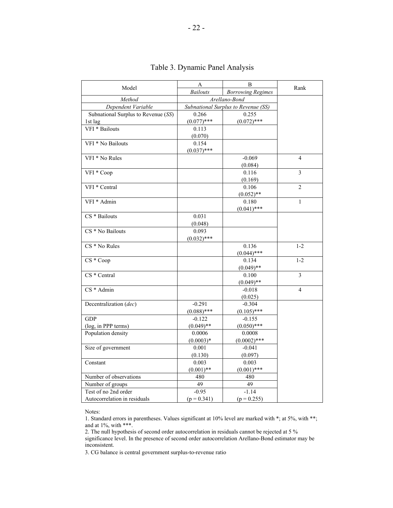| Model                               | A                                           | B              | Rank                     |
|-------------------------------------|---------------------------------------------|----------------|--------------------------|
|                                     | <b>Bailouts</b><br><b>Borrowing Regimes</b> |                |                          |
| Method                              | Arellano-Bond                               |                |                          |
| Dependent Variable                  | Subnational Surplus to Revenue (SS)         |                |                          |
| Subnational Surplus to Revenue (SS) | 0.266                                       | 0.255          |                          |
| 1st lag                             | $(0.077)$ ***                               | $(0.072)$ ***  |                          |
| VFI * Bailouts                      | 0.113                                       |                |                          |
|                                     | (0.070)                                     |                |                          |
| VFI * No Bailouts                   | 0.154                                       |                |                          |
|                                     | $(0.037)$ ***                               |                |                          |
| VFI * No Rules                      |                                             | $-0.069$       | $\overline{4}$           |
|                                     |                                             | (0.084)        |                          |
| $\overline{\text{VFI}}$ * Coop      |                                             | 0.116          | $\overline{3}$           |
|                                     |                                             | (0.169)        |                          |
| VFI * Central                       |                                             | 0.106          | $\overline{2}$           |
|                                     |                                             | $(0.052)$ **   |                          |
| VFI * Admin                         |                                             | 0.180          | $\overline{1}$           |
|                                     |                                             | $(0.041)$ ***  |                          |
| CS * Bailouts                       | 0.031                                       |                |                          |
|                                     | (0.048)                                     |                |                          |
| CS * No Bailouts                    | 0.093                                       |                |                          |
|                                     | $(0.032)$ ***                               |                |                          |
| $CS * No Rules$                     |                                             | 0.136          | $1 - 2$                  |
|                                     |                                             | $(0.044)$ ***  |                          |
| CS * Coop                           |                                             | 0.134          | $1 - 2$                  |
|                                     |                                             | $(0.049)$ **   |                          |
| CS * Central                        |                                             | 0.100          | 3                        |
|                                     |                                             | $(0.049)$ **   |                          |
| $CS *$ Admin                        |                                             | $-0.018$       | $\overline{\mathcal{L}}$ |
|                                     |                                             | (0.025)        |                          |
| Decentralization (dec)              | $-0.291$                                    | $-0.304$       |                          |
|                                     | $(0.088)$ ***                               | $(0.105)$ ***  |                          |
| <b>GDP</b>                          | $-0.122$                                    | $-0.155$       |                          |
| (log, in PPP terms)                 | $(0.049)$ **                                | $(0.050)$ ***  |                          |
| Population density                  | 0.0006                                      | 0.0008         |                          |
|                                     | $(0.0003)*$                                 | $(0.0002)$ *** |                          |
| Size of government                  | 0.001                                       | $-0.041$       |                          |
|                                     | (0.130)                                     | (0.097)        |                          |
| Constant                            | 0.003                                       | 0.003          |                          |
|                                     | $(0.001)$ **                                | $(0.001)$ ***  |                          |
| Number of observations              | 480                                         | 480            |                          |
| Number of groups                    | 49                                          | 49             |                          |
| Test of no 2nd order                | $-0.95$                                     | $-1.14$        |                          |
| Autocorrelation in residuals        | $(p = 0.341)$                               | $(p = 0.255)$  |                          |

#### Table 3. Dynamic Panel Analysis

Notes:

1. Standard errors in parentheses. Values significant at 10% level are marked with \*; at 5%, with \*\*; and at 1%, with \*\*\*.

2. The null hypothesis of second order autocorrelation in residuals cannot be rejected at 5 %

significance level. In the presence of second order autocorrelation Arellano-Bond estimator may be inconsistent.

3. CG balance is central government surplus-to-revenue ratio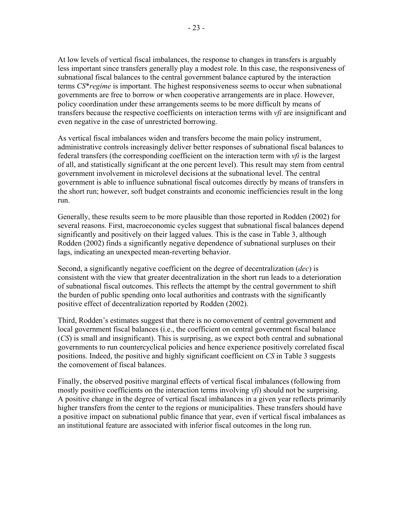At low levels of vertical fiscal imbalances, the response to changes in transfers is arguably less important since transfers generally play a modest role. In this case, the responsiveness of subnational fiscal balances to the central government balance captured by the interaction terms *CS*\**regime* is important. The highest responsiveness seems to occur when subnational governments are free to borrow or when cooperative arrangements are in place. However, policy coordination under these arrangements seems to be more difficult by means of transfers because the respective coefficients on interaction terms with *vfi* are insignificant and even negative in the case of unrestricted borrowing.

As vertical fiscal imbalances widen and transfers become the main policy instrument, administrative controls increasingly deliver better responses of subnational fiscal balances to federal transfers (the corresponding coefficient on the interaction term with *vfi* is the largest of all, and statistically significant at the one percent level). This result may stem from central government involvement in microlevel decisions at the subnational level. The central government is able to influence subnational fiscal outcomes directly by means of transfers in the short run; however, soft budget constraints and economic inefficiencies result in the long run.

Generally, these results seem to be more plausible than those reported in Rodden (2002) for several reasons. First, macroeconomic cycles suggest that subnational fiscal balances depend significantly and positively on their lagged values. This is the case in Table 3, although Rodden (2002) finds a significantly negative dependence of subnational surpluses on their lags, indicating an unexpected mean-reverting behavior.

Second, a significantly negative coefficient on the degree of decentralization (*dec*) is consistent with the view that greater decentralization in the short run leads to a deterioration of subnational fiscal outcomes. This reflects the attempt by the central government to shift the burden of public spending onto local authorities and contrasts with the significantly positive effect of decentralization reported by Rodden (2002).

Third, Rodden's estimates suggest that there is no comovement of central government and local government fiscal balances (i.e., the coefficient on central government fiscal balance (*CS*) is small and insignificant). This is surprising, as we expect both central and subnational governments to run countercyclical policies and hence experience positively correlated fiscal positions. Indeed, the positive and highly significant coefficient on *CS* in Table 3 suggests the comovement of fiscal balances.

Finally, the observed positive marginal effects of vertical fiscal imbalances (following from mostly positive coefficients on the interaction terms involving *vfi*) should not be surprising. A positive change in the degree of vertical fiscal imbalances in a given year reflects primarily higher transfers from the center to the regions or municipalities. These transfers should have a positive impact on subnational public finance that year, even if vertical fiscal imbalances as an institutional feature are associated with inferior fiscal outcomes in the long run.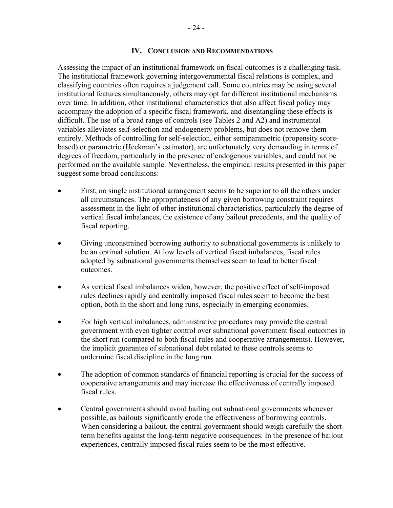#### **IV. CONCLUSION AND RECOMMENDATIONS**

Assessing the impact of an institutional framework on fiscal outcomes is a challenging task. The institutional framework governing intergovernmental fiscal relations is complex, and classifying countries often requires a judgement call. Some countries may be using several institutional features simultaneously, others may opt for different institutional mechanisms over time. In addition, other institutional characteristics that also affect fiscal policy may accompany the adoption of a specific fiscal framework, and disentangling these effects is difficult. The use of a broad range of controls (see Tables 2 and A2) and instrumental variables alleviates self-selection and endogeneity problems, but does not remove them entirely. Methods of controlling for self-selection, either semiparametric (propensity scorebased) or parametric (Heckman's estimator), are unfortunately very demanding in terms of degrees of freedom, particularly in the presence of endogenous variables, and could not be performed on the available sample. Nevertheless, the empirical results presented in this paper suggest some broad conclusions:

- First, no single institutional arrangement seems to be superior to all the others under all circumstances. The appropriateness of any given borrowing constraint requires assessment in the light of other institutional characteristics, particularly the degree of vertical fiscal imbalances, the existence of any bailout precedents, and the quality of fiscal reporting.
- Giving unconstrained borrowing authority to subnational governments is unlikely to be an optimal solution. At low levels of vertical fiscal imbalances, fiscal rules adopted by subnational governments themselves seem to lead to better fiscal outcomes.
- As vertical fiscal imbalances widen, however, the positive effect of self-imposed rules declines rapidly and centrally imposed fiscal rules seem to become the best option, both in the short and long runs, especially in emerging economies.
- For high vertical imbalances, administrative procedures may provide the central government with even tighter control over subnational government fiscal outcomes in the short run (compared to both fiscal rules and cooperative arrangements). However, the implicit guarantee of subnational debt related to these controls seems to undermine fiscal discipline in the long run.
- The adoption of common standards of financial reporting is crucial for the success of cooperative arrangements and may increase the effectiveness of centrally imposed fiscal rules.
- Central governments should avoid bailing out subnational governments whenever possible, as bailouts significantly erode the effectiveness of borrowing controls. When considering a bailout, the central government should weigh carefully the shortterm benefits against the long-term negative consequences. In the presence of bailout experiences, centrally imposed fiscal rules seem to be the most effective.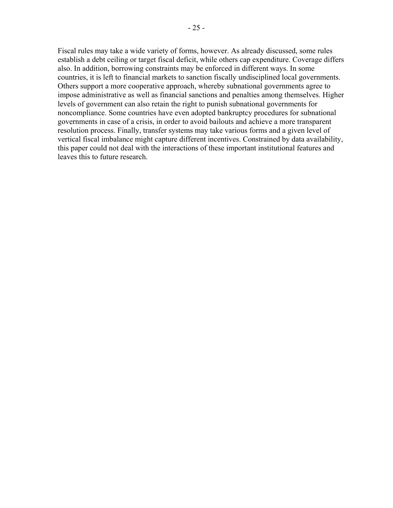Fiscal rules may take a wide variety of forms, however. As already discussed, some rules establish a debt ceiling or target fiscal deficit, while others cap expenditure. Coverage differs also. In addition, borrowing constraints may be enforced in different ways. In some countries, it is left to financial markets to sanction fiscally undisciplined local governments. Others support a more cooperative approach, whereby subnational governments agree to impose administrative as well as financial sanctions and penalties among themselves. Higher levels of government can also retain the right to punish subnational governments for noncompliance. Some countries have even adopted bankruptcy procedures for subnational governments in case of a crisis, in order to avoid bailouts and achieve a more transparent resolution process. Finally, transfer systems may take various forms and a given level of vertical fiscal imbalance might capture different incentives. Constrained by data availability, this paper could not deal with the interactions of these important institutional features and leaves this to future research.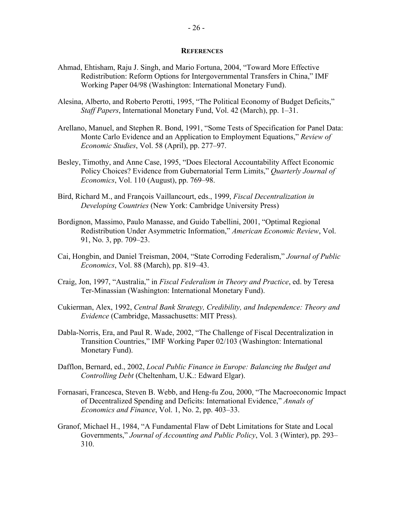#### **REFERENCES**

- Ahmad, Ehtisham, Raju J. Singh, and Mario Fortuna, 2004, "Toward More Effective Redistribution: Reform Options for Intergovernmental Transfers in China," IMF Working Paper 04/98 (Washington: International Monetary Fund).
- Alesina, Alberto, and Roberto Perotti, 1995, "The Political Economy of Budget Deficits," *Staff Papers*, International Monetary Fund, Vol. 42 (March), pp. 1–31.
- Arellano, Manuel, and Stephen R. Bond, 1991, "Some Tests of Specification for Panel Data: Monte Carlo Evidence and an Application to Employment Equations," *Review of Economic Studies*, Vol. 58 (April), pp. 277–97.
- Besley, Timothy, and Anne Case, 1995, "Does Electoral Accountability Affect Economic Policy Choices? Evidence from Gubernatorial Term Limits," *Quarterly Journal of Economics*, Vol. 110 (August), pp. 769–98.
- Bird, Richard M., and François Vaillancourt, eds., 1999, *Fiscal Decentralization in Developing Countries* (New York: Cambridge University Press)
- Bordignon, Massimo, Paulo Manasse, and Guido Tabellini, 2001, "Optimal Regional Redistribution Under Asymmetric Information," *American Economic Review*, Vol. 91, No. 3, pp. 709–23.
- Cai, Hongbin, and Daniel Treisman, 2004, "State Corroding Federalism," *Journal of Public Economics*, Vol. 88 (March), pp. 819–43.
- Craig, Jon, 1997, "Australia," in *Fiscal Federalism in Theory and Practice*, ed. by Teresa Ter-Minassian (Washington: International Monetary Fund).
- Cukierman, Alex, 1992, *Central Bank Strategy, Credibility, and Independence: Theory and Evidence* (Cambridge, Massachusetts: MIT Press).
- Dabla-Norris, Era, and Paul R. Wade, 2002, "The Challenge of Fiscal Decentralization in Transition Countries," IMF Working Paper 02/103 (Washington: International Monetary Fund).
- Dafflon, Bernard, ed., 2002, *Local Public Finance in Europe: Balancing the Budget and Controlling Debt* (Cheltenham, U.K.: Edward Elgar).
- Fornasari, Francesca, Steven B. Webb, and Heng-fu Zou, 2000, "The Macroeconomic Impact of Decentralized Spending and Deficits: International Evidence," *Annals of Economics and Finance*, Vol. 1, No. 2, pp. 403–33.
- Granof, Michael H., 1984, "A Fundamental Flaw of Debt Limitations for State and Local Governments," *Journal of Accounting and Public Policy*, Vol. 3 (Winter), pp. 293– 310.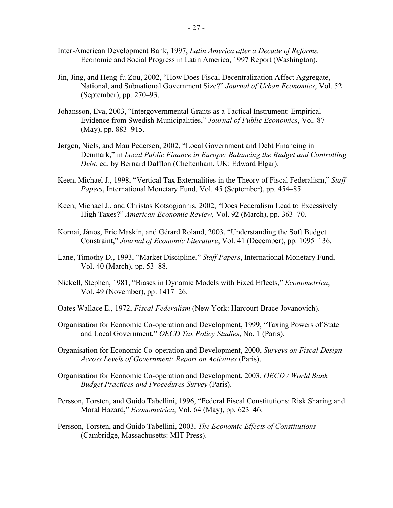- Inter-American Development Bank, 1997, *Latin America after a Decade of Reforms,* Economic and Social Progress in Latin America, 1997 Report (Washington).
- Jin, Jing, and Heng-fu Zou, 2002, "How Does Fiscal Decentralization Affect Aggregate, National, and Subnational Government Size?" *Journal of Urban Economics*, Vol. 52 (September), pp. 270–93.
- Johansson, Eva, 2003, "Intergovernmental Grants as a Tactical Instrument: Empirical Evidence from Swedish Municipalities," *Journal of Public Economics*, Vol. 87 (May), pp. 883–915.
- Jørgen, Niels, and Mau Pedersen, 2002, "Local Government and Debt Financing in Denmark," in *Local Public Finance in Europe: Balancing the Budget and Controlling Debt*, ed. by Bernard Dafflon (Cheltenham, UK: Edward Elgar).
- Keen, Michael J., 1998, "Vertical Tax Externalities in the Theory of Fiscal Federalism," *Staff Papers*, International Monetary Fund, Vol. 45 (September), pp. 454–85.
- Keen, Michael J., and Christos Kotsogiannis, 2002, "Does Federalism Lead to Excessively High Taxes?" *American Economic Review,* Vol. 92 (March), pp. 363–70.
- Kornai, János, Eric Maskin, and Gérard Roland, 2003, "Understanding the Soft Budget Constraint," *Journal of Economic Literature*, Vol. 41 (December), pp. 1095–136.
- Lane, Timothy D., 1993, "Market Discipline," *Staff Papers*, International Monetary Fund, Vol. 40 (March), pp. 53–88.
- Nickell, Stephen, 1981, "Biases in Dynamic Models with Fixed Effects," *Econometrica*, Vol. 49 (November), pp. 1417–26.
- Oates Wallace E., 1972, *Fiscal Federalism* (New York: Harcourt Brace Jovanovich).
- Organisation for Economic Co-operation and Development, 1999, "Taxing Powers of State and Local Government," *OECD Tax Policy Studies*, No. 1 (Paris).
- Organisation for Economic Co-operation and Development, 2000, *Surveys on Fiscal Design Across Levels of Government: Report on Activities* (Paris).
- Organisation for Economic Co-operation and Development, 2003, *OECD / World Bank Budget Practices and Procedures Survey* (Paris).
- Persson, Torsten, and Guido Tabellini, 1996, "Federal Fiscal Constitutions: Risk Sharing and Moral Hazard," *Econometrica*, Vol. 64 (May), pp. 623–46.
- Persson, Torsten, and Guido Tabellini, 2003, *The Economic Effects of Constitutions* (Cambridge, Massachusetts: MIT Press).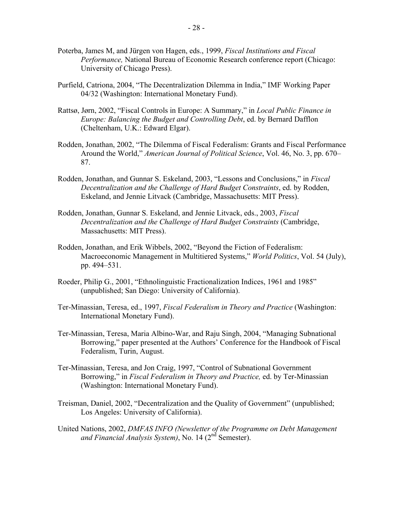- Poterba, James M, and Jürgen von Hagen, eds., 1999, *Fiscal Institutions and Fiscal Performance,* National Bureau of Economic Research conference report (Chicago: University of Chicago Press).
- Purfield, Catriona, 2004, "The Decentralization Dilemma in India," IMF Working Paper 04/32 (Washington: International Monetary Fund).
- Rattsø, Jørn, 2002, "Fiscal Controls in Europe: A Summary," in *Local Public Finance in Europe: Balancing the Budget and Controlling Debt*, ed. by Bernard Dafflon (Cheltenham, U.K.: Edward Elgar).
- Rodden, Jonathan, 2002, "The Dilemma of Fiscal Federalism: Grants and Fiscal Performance Around the World," *American Journal of Political Science*, Vol. 46, No. 3, pp. 670– 87.
- Rodden, Jonathan, and Gunnar S. Eskeland, 2003, "Lessons and Conclusions," in *Fiscal Decentralization and the Challenge of Hard Budget Constraints*, ed. by Rodden, Eskeland, and Jennie Litvack (Cambridge, Massachusetts: MIT Press).
- Rodden, Jonathan, Gunnar S. Eskeland, and Jennie Litvack, eds., 2003, *Fiscal Decentralization and the Challenge of Hard Budget Constraints* (Cambridge, Massachusetts: MIT Press).
- Rodden, Jonathan, and Erik Wibbels, 2002, "Beyond the Fiction of Federalism: Macroeconomic Management in Multitiered Systems," *World Politics*, Vol. 54 (July), pp. 494–531.
- Roeder, Philip G., 2001, "Ethnolinguistic Fractionalization Indices, 1961 and 1985" (unpublished; San Diego: University of California).
- Ter-Minassian, Teresa, ed., 1997, *Fiscal Federalism in Theory and Practice* (Washington: International Monetary Fund).
- Ter-Minassian, Teresa, Maria Albino-War, and Raju Singh, 2004, "Managing Subnational Borrowing," paper presented at the Authors' Conference for the Handbook of Fiscal Federalism, Turin, August.
- Ter-Minassian, Teresa, and Jon Craig, 1997, "Control of Subnational Government Borrowing," in *Fiscal Federalism in Theory and Practice,* ed. by Ter-Minassian (Washington: International Monetary Fund).
- Treisman, Daniel, 2002, "Decentralization and the Quality of Government" (unpublished; Los Angeles: University of California).
- United Nations, 2002, *DMFAS INFO (Newsletter of the Programme on Debt Management and Financial Analysis System)*, No. 14 (2nd Semester).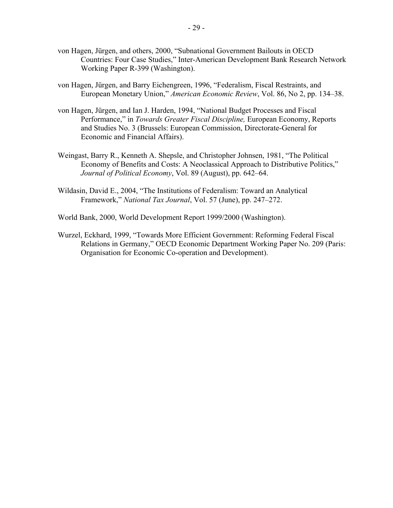- von Hagen, Jürgen, and others, 2000, "Subnational Government Bailouts in OECD Countries: Four Case Studies," Inter-American Development Bank Research Network Working Paper R-399 (Washington).
- von Hagen, Jürgen, and Barry Eichengreen, 1996, "Federalism, Fiscal Restraints, and European Monetary Union," *American Economic Review*, Vol. 86, No 2, pp. 134–38.
- von Hagen, Jürgen, and Ian J. Harden, 1994, "National Budget Processes and Fiscal Performance," in *Towards Greater Fiscal Discipline,* European Economy, Reports and Studies No. 3 (Brussels: European Commission, Directorate-General for Economic and Financial Affairs).
- Weingast, Barry R., Kenneth A. Shepsle, and Christopher Johnsen, 1981, "The Political Economy of Benefits and Costs: A Neoclassical Approach to Distributive Politics," *Journal of Political Economy*, Vol. 89 (August), pp. 642–64.
- Wildasin, David E., 2004, "The Institutions of Federalism: Toward an Analytical Framework," *National Tax Journal*, Vol. 57 (June), pp. 247–272.

World Bank, 2000, World Development Report 1999/2000 (Washington).

Wurzel, Eckhard, 1999, "Towards More Efficient Government: Reforming Federal Fiscal Relations in Germany," OECD Economic Department Working Paper No. 209 (Paris: Organisation for Economic Co-operation and Development).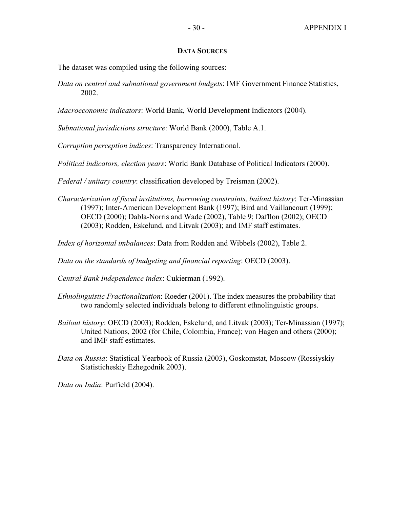#### **DATA SOURCES**

The dataset was compiled using the following sources:

*Data on central and subnational government budgets*: IMF Government Finance Statistics, 2002.

*Macroeconomic indicators*: World Bank, World Development Indicators (2004).

*Subnational jurisdictions structure*: World Bank (2000), Table A.1.

*Corruption perception indices*: Transparency International.

*Political indicators, election years*: World Bank Database of Political Indicators (2000).

*Federal / unitary country*: classification developed by Treisman (2002).

*Characterization of fiscal institutions, borrowing constraints, bailout history*: Ter-Minassian (1997); Inter-American Development Bank (1997); Bird and Vaillancourt (1999); OECD (2000); Dabla-Norris and Wade (2002), Table 9; Dafflon (2002); OECD (2003); Rodden, Eskelund, and Litvak (2003); and IMF staff estimates.

*Index of horizontal imbalances*: Data from Rodden and Wibbels (2002), Table 2.

*Data on the standards of budgeting and financial reporting*: OECD (2003).

*Central Bank Independence index*: Cukierman (1992).

- *Ethnolinguistic Fractionalization*: Roeder (2001). The index measures the probability that two randomly selected individuals belong to different ethnolinguistic groups.
- *Bailout history*: OECD (2003); Rodden, Eskelund, and Litvak (2003); Ter-Minassian (1997); United Nations, 2002 (for Chile, Colombia, France); von Hagen and others (2000); and IMF staff estimates.
- *Data on Russia*: Statistical Yearbook of Russia (2003), Goskomstat, Moscow (Rossiyskiy Statisticheskiy Ezhegodnik 2003).

*Data on India*: Purfield (2004).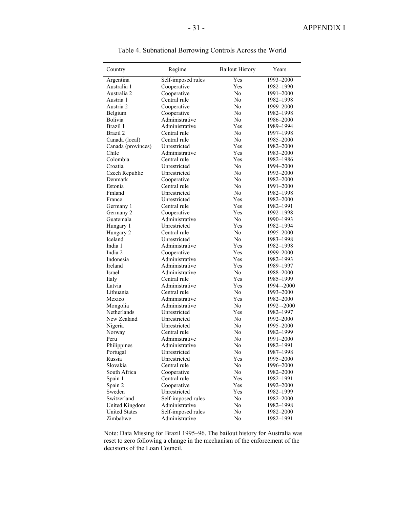| Country              | Regime                      | <b>Bailout History</b> | Years                  |
|----------------------|-----------------------------|------------------------|------------------------|
| Argentina            | Self-imposed rules          | Yes                    | 1993-2000              |
| Australia 1          | Cooperative                 | <b>Yes</b>             | 1982-1990              |
| Australia 2          | Cooperative                 | No                     | 1991-2000              |
| Austria 1            | Central rule                | No                     | 1982-1998              |
| Austria 2            | Cooperative                 | No                     | 1999-2000              |
| Belgium              | Cooperative                 | No                     | 1982-1998              |
| Bolivia              | Administrative              | No                     | 1986-2000              |
| Brazil 1             | Administrative              | Yes                    | 1989-1994              |
| Brazil 2             | Central rule                | No                     | 1997-1998              |
| Canada (local)       | Central rule                | No                     | 1985-2000              |
| Canada (provinces)   | Unrestricted                | Yes                    | 1982-2000              |
| Chile                | Administrative              | Yes                    | 1983-2000              |
| Colombia             | Central rule                | Yes                    | 1982-1986              |
| Croatia              | Unrestricted                | No                     | 1994-2000              |
| Czech Republic       | Unrestricted                | No                     | 1993-2000              |
| Denmark              | Cooperative                 | No                     | 1982-2000              |
| Estonia              | Central rule                | No                     | 1991-2000              |
| Finland              | Unrestricted                | No                     | 1982-1998              |
| France               | Unrestricted                | Yes                    | 1982-2000              |
| Germany 1            | Central rule                | Yes                    | 1982-1991              |
| Germany 2            | Cooperative                 | Yes                    | 1992-1998              |
| Guatemala            | Administrative              | N <sub>0</sub>         | 1990-1993              |
| Hungary 1            | Unrestricted                | Yes                    | 1982-1994              |
| Hungary 2            | Central rule                | No                     | 1995-2000              |
| Iceland              | Unrestricted                | No                     | 1983-1998              |
| India 1              | Administrative              | Yes                    | 1982–1998              |
| India 2              | Cooperative                 | Yes                    | 1999-2000              |
| Indonesia            | Administrative              | Yes                    | 1982-1993              |
| Ireland              | Administrative              | Yes                    | 1989-1997              |
| Israel               | Administrative              | No                     | 1988-2000              |
| Italy                | Central rule                | Yes                    | 1985-1999              |
| Latvia               | Administrative              | Yes                    | 1994--2000             |
| Lithuania            | Central rule                | No.                    | 1993-2000              |
| Mexico               | Administrative              | Yes                    | 1982-2000              |
| Mongolia             | Administrative              | No                     | 1992--2000             |
| Netherlands          | Unrestricted                | Yes                    | 1982-1997              |
| New Zealand          | Unrestricted                | No                     | 1992-2000              |
| Nigeria              | Unrestricted                | No                     | 1995-2000              |
| Norway               | Central rule                | N <sub>0</sub>         | 1982-1999              |
| Peru                 | Administrative              | N <sub>0</sub>         | 1991-2000              |
| Philippines          | Administrative              | No                     | 1982-1991              |
| Portugal             | Unrestricted                | No                     | 1987-1998              |
| Russia               | Unrestricted                | Yes                    | 1995-2000              |
| Slovakia             | Central rule                | No                     | 1996-2000              |
| South Africa         |                             | No                     | 1982-2000              |
| Spain 1              | Cooperative<br>Central rule | Yes                    | 1982-1991              |
|                      | Cooperative                 | Yes                    | 1992-2000              |
| Spain 2<br>Sweden    | Unrestricted                | Yes                    | 1982-1999              |
| Switzerland          |                             |                        |                        |
|                      | Self-imposed rules          | No                     | 1982-2000              |
| United Kingdom       | Administrative              | No                     | 1982-1998<br>1982-2000 |
| <b>United States</b> | Self-imposed rules          | No                     |                        |
| Zimbabwe             | Administrative              | No                     | 1982-1991              |

Table 4. Subnational Borrowing Controls Across the World

 Note: Data Missing for Brazil 1995–96. The bailout history for Australia was reset to zero following a change in the mechanism of the enforcement of the decisions of the Loan Council.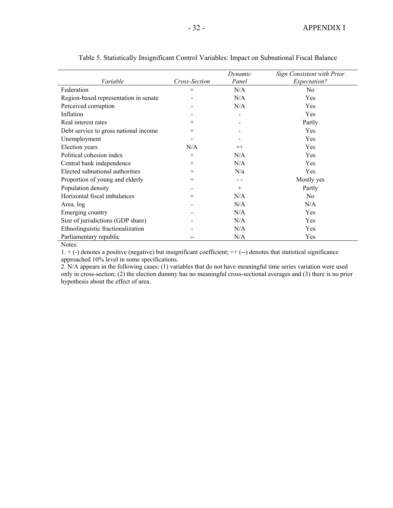| Variable                              | Cross-Section | Dynamic<br>Panel | Sign Consistent with Prior<br>Expectation? |
|---------------------------------------|---------------|------------------|--------------------------------------------|
| Federation                            | $^{+}$        | N/A              | N <sub>0</sub>                             |
| Region-based representation in senate |               | N/A              | Yes                                        |
| Perceived corruption                  |               | N/A              | Yes                                        |
| Inflation                             |               |                  | Yes                                        |
| Real interest rates                   | $+$           |                  | Partly                                     |
| Debt service to gross national income | $^{+}$        |                  | <b>Yes</b>                                 |
| Unemployment                          |               |                  | <b>Yes</b>                                 |
| Election years                        | N/A           | $++$             | Yes                                        |
| Political cohesion index              | $+$           | N/A              | Yes                                        |
| Central bank independence             | $^{+}$        | N/A              | Yes                                        |
| Elected subnational authorities       | $^{+}$        | N/a              | <b>Yes</b>                                 |
| Proportion of young and elderly       | $^{+}$        |                  | Mostly yes                                 |
| Population density                    |               | $^{+}$           | Partly                                     |
| Horizontal fiscal imbalances          | $^{+}$        | N/A              | N <sub>o</sub>                             |
| Area, log                             |               | N/A              | N/A                                        |
| Emerging country                      |               | N/A              | Yes                                        |
| Size of jurisdictions (GDP share)     |               | N/A              | Yes                                        |
| Ethnolinguistic fractionalization     |               | N/A              | Yes                                        |
| Parliamentary republic                |               | N/A              | Yes                                        |

Table 5. Statistically Insignificant Control Variables: Impact on Subnational Fiscal Balance

Notes:

 $1. + (-)$  denotes a positive (negative) but insignificant coefficient;  $++$  (--) denotes that statistical significance approached 10% level in some specifications.

2. N/A appears in the following cases: (1) variables that do not have meaningful time series variation were used only in cross-section; (2) the election dummy has no meaningful cross-sectional averages and (3) there is no prior hypothesis about the effect of area.